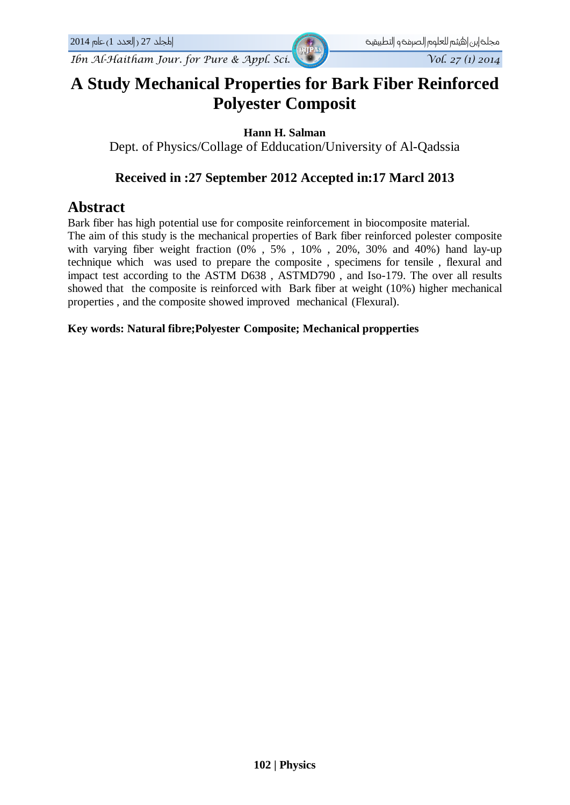*Ibn Al-Haitham Jour. for Pure & Appl. Sci. Vol. 27 (1) 2014* 

# **A Study Mechanical Properties for Bark Fiber Reinforced Polyester Composit**

#### **Hann H. Salman**

Dept. of Physics/Collage of Edducation/University of Al-Qadssia

#### **Received in :27 September 2012 Accepted in:17 Marcl 2013**

#### **Abstract**

Bark fiber has high potential use for composite reinforcement in biocomposite material.

The aim of this study is the mechanical properties of Bark fiber reinforced polester composite with varying fiber weight fraction  $(0\%$ ,  $5\%$ ,  $10\%$ ,  $20\%$ ,  $30\%$  and  $40\%$ ) hand lay-up technique which was used to prepare the composite , specimens for tensile , flexural and impact test according to the ASTM D638 , ASTMD790 , and Iso-179. The over all results showed that the composite is reinforced with Bark fiber at weight (10%) higher mechanical properties , and the composite showed improved mechanical (Flexural).

#### **Key words: Natural fibre;Polyester Composite; Mechanical propperties**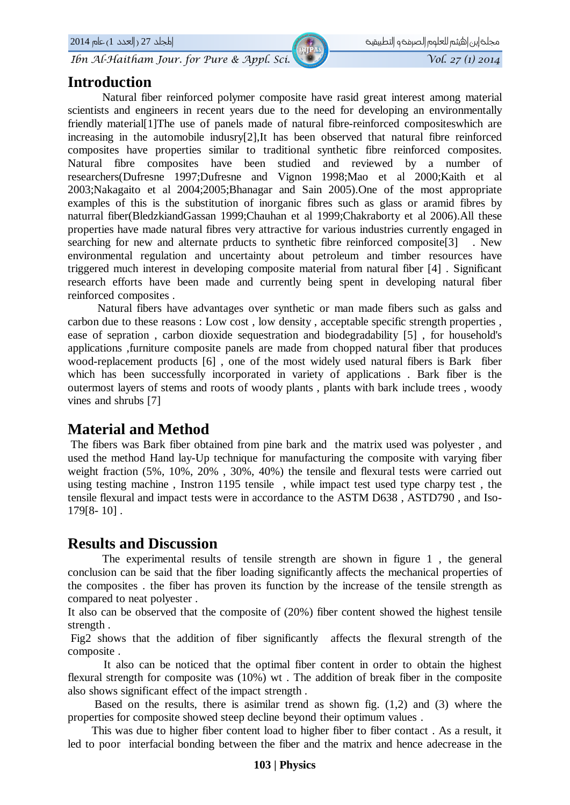*Ibn Al-Haitham Jour. for Pure & Appl. Sci. Vol. 27 (1) 2014* 

#### **Introduction**

Natural fiber reinforced polymer composite have rasid great interest among material scientists and engineers in recent years due to the need for developing an environmentally friendly material[1]The use of panels made of natural fibre-reinforced compositeswhich are increasing in the automobile indusry[2],It has been observed that natural fibre reinforced composites have properties similar to traditional synthetic fibre reinforced composites. Natural fibre composites have been studied and reviewed by a number of researchers(Dufresne 1997;Dufresne and Vignon 1998;Mao et al 2000;Kaith et al 2003;Nakagaito et al 2004;2005;Bhanagar and Sain 2005).One of the most appropriate examples of this is the substitution of inorganic fibres such as glass or aramid fibres by naturral fiber(BledzkiandGassan 1999;Chauhan et al 1999;Chakraborty et al 2006).All these properties have made natural fibres very attractive for various industries currently engaged in searching for new and alternate prducts to synthetic fibre reinforced composite[3] . New environmental regulation and uncertainty about petroleum and timber resources have triggered much interest in developing composite material from natural fiber [4] . Significant research efforts have been made and currently being spent in developing natural fiber reinforced composites .

 Natural fibers have advantages over synthetic or man made fibers such as galss and carbon due to these reasons : Low cost , low density , acceptable specific strength properties , ease of sepration , carbon dioxide sequestration and biodegradability [5] , for household's applications ,furniture composite panels are made from chopped natural fiber that produces wood-replacement products [6] , one of the most widely used natural fibers is Bark fiber which has been successfully incorporated in variety of applications . Bark fiber is the outermost layers of stems and roots of woody plants , plants with bark include trees , woody vines and shrubs [7]

## **Material and Method**

The fibers was Bark fiber obtained from pine bark and the matrix used was polyester , and used the method Hand lay-Up technique for manufacturing the composite with varying fiber weight fraction (5%, 10%, 20% , 30%, 40%) the tensile and flexural tests were carried out using testing machine , Instron 1195 tensile , while impact test used type charpy test , the tensile flexural and impact tests were in accordance to the ASTM D638 , ASTD790 , and Iso-179[8- 10] .

#### **Results and Discussion**

The experimental results of tensile strength are shown in figure 1 , the general conclusion can be said that the fiber loading significantly affects the mechanical properties of the composites . the fiber has proven its function by the increase of the tensile strength as compared to neat polyester .

It also can be observed that the composite of (20%) fiber content showed the highest tensile strength .

Fig2 shows that the addition of fiber significantly affects the flexural strength of the composite .

 It also can be noticed that the optimal fiber content in order to obtain the highest flexural strength for composite was (10%) wt . The addition of break fiber in the composite also shows significant effect of the impact strength .

 Based on the results, there is asimilar trend as shown fig. (1,2) and (3) where the properties for composite showed steep decline beyond their optimum values .

 This was due to higher fiber content load to higher fiber to fiber contact . As a result, it led to poor interfacial bonding between the fiber and the matrix and hence adecrease in the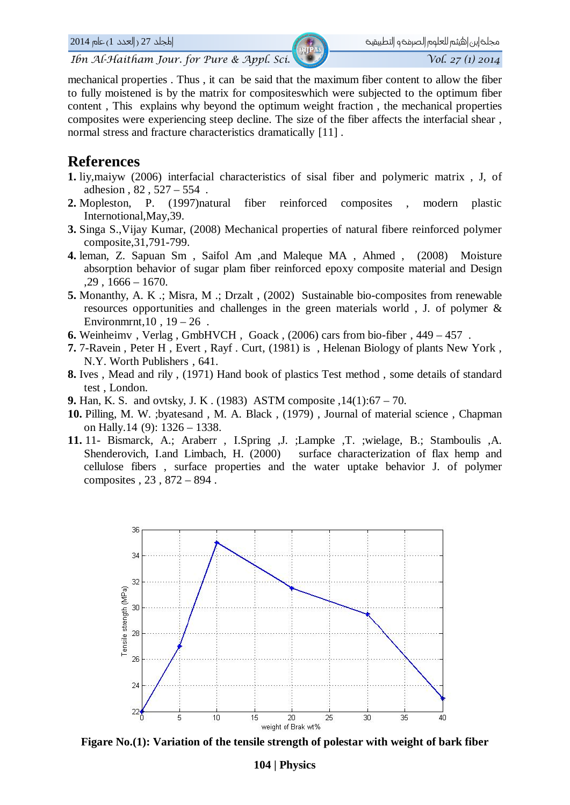*Ibn Al-Haitham Jour. for Pure & Appl. Sci. Vol. 27 (1) 2014* 

mechanical properties . Thus , it can be said that the maximum fiber content to allow the fiber to fully moistened is by the matrix for compositeswhich were subjected to the optimum fiber content , This explains why beyond the optimum weight fraction , the mechanical properties composites were experiencing steep decline. The size of the fiber affects the interfacial shear , normal stress and fracture characteristics dramatically [11] .

#### **References**

- **1.** liy,maiyw (2006) interfacial characteristics of sisal fiber and polymeric matrix , J, of adhesion , 82 , 527 – 554 .
- **2.** Mopleston, P. (1997)natural fiber reinforced composites , modern plastic Internotional,May,39.
- **3.** Singa S.,Vijay Kumar, (2008) Mechanical properties of natural fibere reinforced polymer composite,31,791-799.
- **4.** leman, Z. Sapuan Sm , Saifol Am ,and Maleque MA , Ahmed , (2008) Moisture absorption behavior of sugar plam fiber reinforced epoxy composite material and Design  $,29$ ,  $1666 - 1670.$
- **5.** Monanthy, A. K .; Misra, M .; Drzalt , (2002) Sustainable bio-composites from renewable resources opportunities and challenges in the green materials world , J. of polymer & Environmrnt,  $10 \cdot 19 - 26$ .
- **6.** Weinheimv , Verlag , GmbHVCH , Goack , (2006) cars from bio-fiber , 449 457 .
- **7.** 7-Ravein , Peter H , Evert , Rayf . Curt, (1981) is , Helenan Biology of plants New York , N.Y. Worth Publishers , 641.
- **8.** Ives , Mead and rily , (1971) Hand book of plastics Test method , some details of standard test , London.
- **9.** Han, K. S. and ovtsky, J. K . (1983) ASTM composite ,14(1):67 70.
- **10.** Pilling, M. W. ;byatesand , M. A. Black , (1979) , Journal of material science , Chapman on Hally.14 (9): 1326 – 1338.
- **11.** 11- Bismarck, A.; Araberr , I.Spring ,J. ;Lampke ,T. ;wielage, B.; Stamboulis ,A. Shenderovich, I.and Limbach, H. (2000) surface characterization of flax hemp and cellulose fibers , surface properties and the water uptake behavior J. of polymer composites , 23 , 872 – 894 .



**Figare No.(1): Variation of the tensile strength of polestar with weight of bark fiber**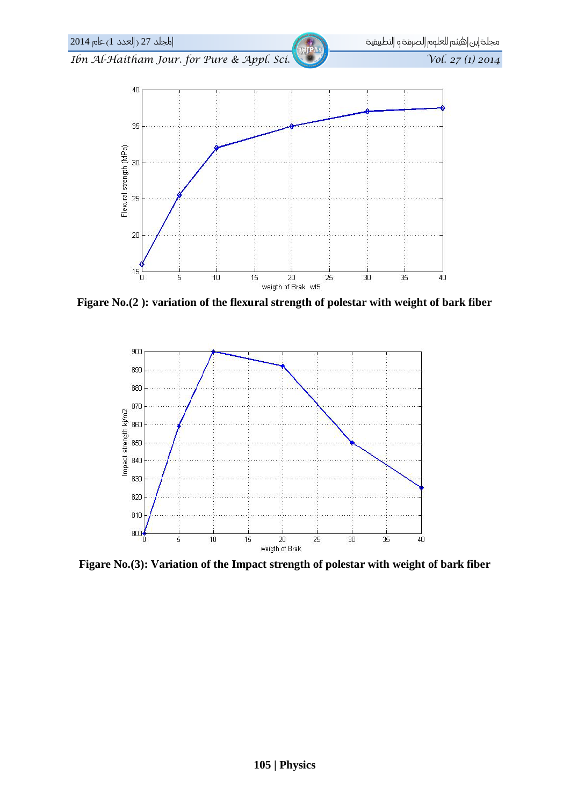

Figare No.(2): variation of the flexural strength of polestar with weight of bark fiber



Figare No.(3): Variation of the Impact strength of polestar with weight of bark fiber